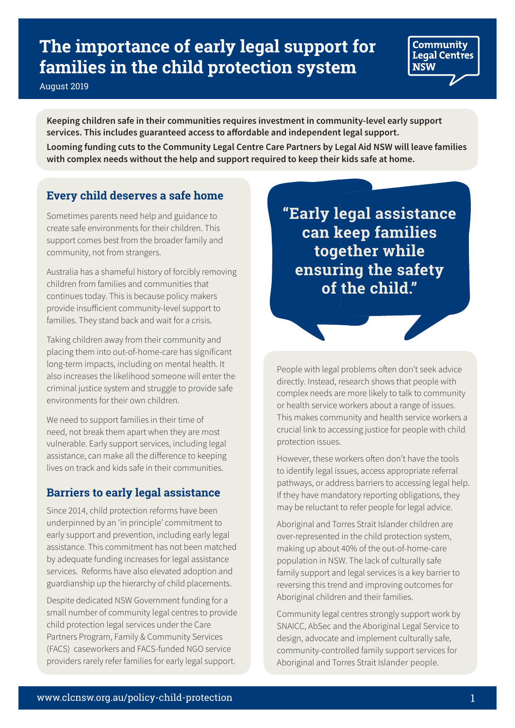# **The importance of early legal support for families in the child protection system**

August 2019

**Keeping children safe in their communities requires investment in community-level early support services. This includes guaranteed access to afordable and independent legal support. Looming funding cuts to the Community Legal Centre Care Partners by Legal Aid NSW will leave families with complex needs without the help and support required to keep their kids safe at home.**

# **Every child deserves a safe home**

Sometimes parents need help and guidance to create safe environments for their children. This support comes best from the broader family and community, not from strangers.

Australia has a shameful history of forcibly removing children from families and communities that continues today. This is because policy makers provide insuficient community-level support to families. They stand back and wait for a crisis.

Taking children away from their community and placing them into out-of-home-care has significant long-term impacts, including on mental health. It also increases the likelihood someone will enter the criminal justice system and struggle to provide safe environments for their own children.

We need to support families in their time of need, not break them apart when they are most vulnerable. Early support services, including legal assistance, can make all the diference to keeping lives on track and kids safe in their communities.

# **Barriers to early legal assistance**

Since 2014, child protection reforms have been underpinned by an 'in principle' commitment to early support and prevention, including early legal assistance. This commitment has not been matched by adequate funding increases for legal assistance services. Reforms have also elevated adoption and guardianship up the hierarchy of child placements.

Despite dedicated NSW Government funding for a small number of community legal centres to provide child protection legal services under the Care Partners Program, Family & Community Services (FACS) caseworkers and FACS-funded NGO service providers rarely refer families for early legal support.

**"Early legal assistance can keep families together while ensuring the safety of the child."**

Community **Legal Centres** 

**NSW** 

People with legal problems often don't seek advice directly. Instead, research shows that people with complex needs are more likely to talk to community or health service workers about a range of issues. This makes community and health service workers a crucial link to accessing justice for people with child protection issues.

However, these workers often don't have the tools to identify legal issues, access appropriate referral pathways, or address barriers to accessing legal help. If they have mandatory reporting obligations, they may be reluctant to refer people for legal advice.

Aboriginal and Torres Strait Islander children are over-represented in the child protection system, making up about 40% of the out-of-home-care population in NSW. The lack of culturally safe family support and legal services is a key barrier to reversing this trend and improving outcomes for Aboriginal children and their families.

Community legal centres strongly support work by SNAICC, AbSec and the Aboriginal Legal Service to design, advocate and implement culturally safe, community-controlled family support services for Aboriginal and Torres Strait Islander people.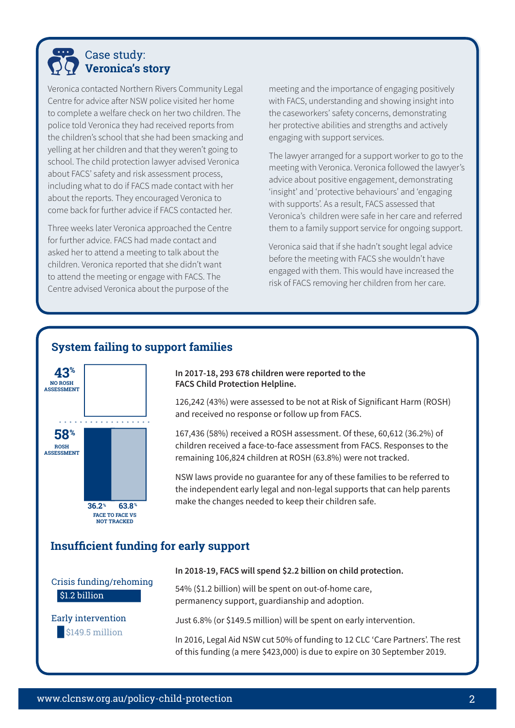

Veronica contacted Northern Rivers Community Legal Centre for advice after NSW police visited her home to complete a welfare check on her two children. The police told Veronica they had received reports from the children's school that she had been smacking and yelling at her children and that they weren't going to school. The child protection lawyer advised Veronica about FACS' safety and risk assessment process, including what to do if FACS made contact with her about the reports. They encouraged Veronica to come back for further advice if FACS contacted her.

Three weeks later Veronica approached the Centre for further advice. FACS had made contact and asked her to attend a meeting to talk about the children. Veronica reported that she didn't want to attend the meeting or engage with FACS. The Centre advised Veronica about the purpose of the

meeting and the importance of engaging positively with FACS, understanding and showing insight into the caseworkers' safety concerns, demonstrating her protective abilities and strengths and actively engaging with support services.

The lawyer arranged for a support worker to go to the meeting with Veronica. Veronica followed the lawyer's advice about positive engagement, demonstrating 'insight' and 'protective behaviours' and 'engaging with supports'. As a result, FACS assessed that Veronica's children were safe in her care and referred them to a family support service for ongoing support.

Veronica said that if she hadn't sought legal advice before the meeting with FACS she wouldn't have engaged with them. This would have increased the risk of FACS removing her children from her care.

## **System failing to support families**



**In 2017-18, 293 678 children were reported to the FACS Child Protection Helpline.**

126,242 (43%) were assessed to be not at Risk of Significant Harm (ROSH) and received no response or follow up from FACS.

167,436 (58%) received a ROSH assessment. Of these, 60,612 (36.2%) of children received a face-to-face assessment from FACS. Responses to the remaining 106,824 children at ROSH (63.8%) were not tracked.

NSW laws provide no guarantee for any of these families to be referred to the independent early legal and non-legal supports that can help parents make the changes needed to keep their children safe.

## **Insuffcient funding for early support**

\$1.2 billion Crisis funding/rehoming

\$149.5 million Early intervention **In 2018-19, FACS will spend \$2.2 billion on child protection.**

54% (\$1.2 billion) will be spent on out-of-home care, permanency support, guardianship and adoption.

Just 6.8% (or \$149.5 million) will be spent on early intervention.

In 2016, Legal Aid NSW cut 50% of funding to 12 CLC 'Care Partners'. The rest of this funding (a mere \$423,000) is due to expire on 30 September 2019.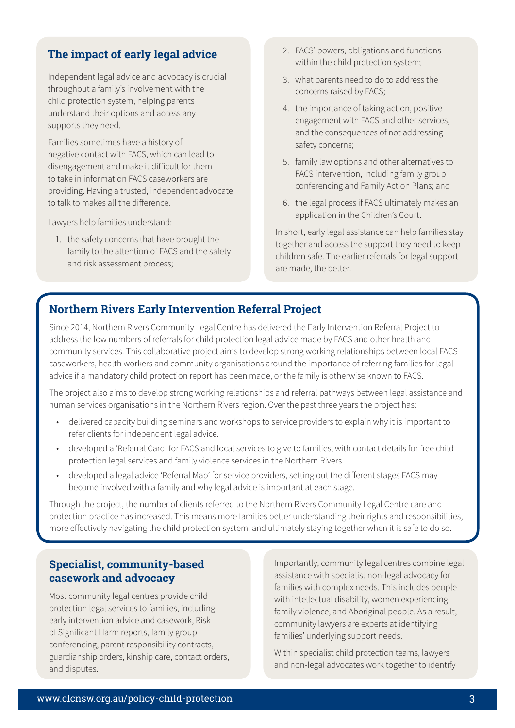# **The impact of early legal advice**

Independent legal advice and advocacy is crucial throughout a family's involvement with the child protection system, helping parents understand their options and access any supports they need.

Families sometimes have a history of negative contact with FACS, which can lead to disengagement and make it dificult for them to take in information FACS caseworkers are providing. Having a trusted, independent advocate to talk to makes all the diference.

Lawyers help families understand:

1. the safety concerns that have brought the family to the attention of FACS and the safety and risk assessment process;

- 2. FACS' powers, obligations and functions within the child protection system;
- 3. what parents need to do to address the concerns raised by FACS;
- 4. the importance of taking action, positive engagement with FACS and other services, and the consequences of not addressing safety concerns;
- 5. family law options and other alternatives to FACS intervention, including family group conferencing and Family Action Plans; and
- 6. the legal process if FACS ultimately makes an application in the Children's Court.

In short, early legal assistance can help families stay together and access the support they need to keep children safe. The earlier referrals for legal support are made, the better.

## **Northern Rivers Early Intervention Referral Project**

Since 2014, Northern Rivers Community Legal Centre has delivered the Early Intervention Referral Project to address the low numbers of referrals for child protection legal advice made by FACS and other health and community services. This collaborative project aims to develop strong working relationships between local FACS caseworkers, health workers and community organisations around the importance of referring families for legal advice if a mandatory child protection report has been made, or the family is otherwise known to FACS.

The project also aims to develop strong working relationships and referral pathways between legal assistance and human services organisations in the Northern Rivers region. Over the past three years the project has:

- delivered capacity building seminars and workshops to service providers to explain why it is important to refer clients for independent legal advice.
- developed a 'Referral Card' for FACS and local services to give to families, with contact details for free child protection legal services and family violence services in the Northern Rivers.
- developed a legal advice 'Referral Map' for service providers, setting out the diferent stages FACS may become involved with a family and why legal advice is important at each stage.

Through the project, the number of clients referred to the Northern Rivers Community Legal Centre care and protection practice has increased. This means more families better understanding their rights and responsibilities, more efectively navigating the child protection system, and ultimately staying together when it is safe to do so.

## **Specialist, community-based casework and advocacy**

Most community legal centres provide child protection legal services to families, including: early intervention advice and casework, Risk of Significant Harm reports, family group conferencing, parent responsibility contracts, guardianship orders, kinship care, contact orders, and disputes.

Importantly, community legal centres combine legal assistance with specialist non-legal advocacy for families with complex needs. This includes people with intellectual disability, women experiencing family violence, and Aboriginal people. As a result, community lawyers are experts at identifying families' underlying support needs.

Within specialist child protection teams, lawyers and non-legal advocates work together to identify